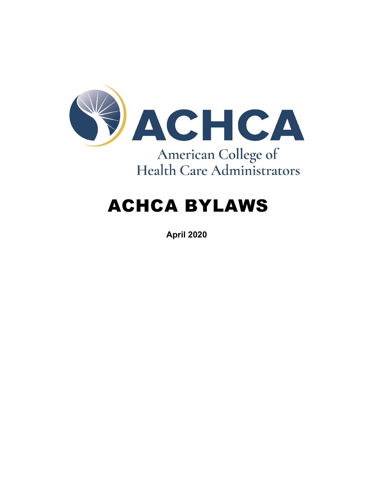

# ACHCA BYLAWS

**April 2020**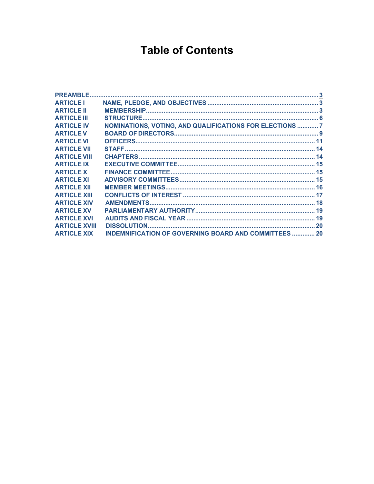# **Table of Contents**

| <b>PREAMBLE</b>      |                                                              |  |
|----------------------|--------------------------------------------------------------|--|
| <b>ARTICLE I</b>     |                                                              |  |
| <b>ARTICLE II</b>    |                                                              |  |
| <b>ARTICLE III</b>   | <b>STRUCTURE.</b>                                            |  |
| <b>ARTICLE IV</b>    | NOMINATIONS, VOTING, AND QUALIFICATIONS FOR ELECTIONS  7     |  |
| <b>ARTICLE V</b>     |                                                              |  |
| <b>ARTICLE VI</b>    |                                                              |  |
| <b>ARTICLE VII</b>   |                                                              |  |
| <b>ARTICLE VIII</b>  |                                                              |  |
| <b>ARTICLE IX</b>    |                                                              |  |
| <b>ARTICLE X</b>     |                                                              |  |
| <b>ARTICLE XI</b>    |                                                              |  |
| <b>ARTICLE XII</b>   |                                                              |  |
| <b>ARTICLE XIII</b>  |                                                              |  |
| <b>ARTICLE XIV</b>   |                                                              |  |
| <b>ARTICLE XV</b>    |                                                              |  |
| <b>ARTICLE XVI</b>   |                                                              |  |
| <b>ARTICLE XVIII</b> |                                                              |  |
| <b>ARTICLE XIX</b>   | <b>INDEMNIFICATION OF GOVERNING BOARD AND COMMITTEES  20</b> |  |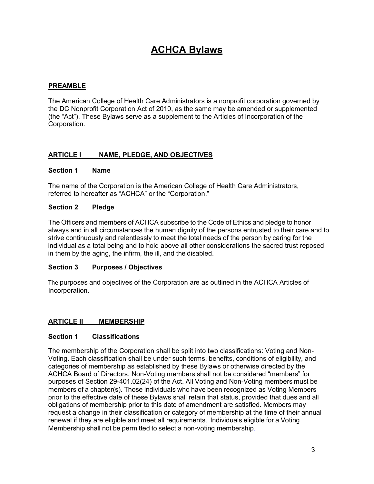# **ACHCA Bylaws**

# <span id="page-2-0"></span>**PREAMBLE**

The American College of Health Care Administrators is a nonprofit corporation governed by the DC Nonprofit Corporation Act of 2010, as the same may be amended or supplemented (the "Act"). These Bylaws serve as a supplement to the Articles of Incorporation of the Corporation.

# <span id="page-2-1"></span>**ARTICLE I NAME, PLEDGE, AND OBJECTIVES**

#### **Section 1 Name**

The name of the Corporation is the American College of Health Care Administrators, referred to hereafter as "ACHCA" or the "Corporation."

#### **Section 2 Pledge**

The Officers and members of ACHCA subscribe to the Code of Ethics and pledge to honor always and in all circumstances the human dignity of the persons entrusted to their care and to strive continuously and relentlessly to meet the total needs of the person by caring for the individual as a total being and to hold above all other considerations the sacred trust reposed in them by the aging, the infirm, the ill, and the disabled.

#### **Section 3 Purposes / Objectives**

The purposes and objectives of the Corporation are as outlined in the ACHCA Articles of Incorporation.

#### <span id="page-2-2"></span>**ARTICLE II MEMBERSHIP**

#### **Section 1 Classifications**

The membership of the Corporation shall be split into two classifications: Voting and Non-Voting. Each classification shall be under such terms, benefits, conditions of eligibility, and categories of membership as established by these Bylaws or otherwise directed by the ACHCA Board of Directors. Non-Voting members shall not be considered "members" for purposes of Section 29-401.02(24) of the Act. All Voting and Non-Voting members must be members of a chapter(s). Those individuals who have been recognized as Voting Members prior to the effective date of these Bylaws shall retain that status, provided that dues and all obligations of membership prior to this date of amendment are satisfied. Members may request a change in their classification or category of membership at the time of their annual renewal if they are eligible and meet all requirements. Individuals eligible for a Voting Membership shall not be permitted to select a non-voting membership.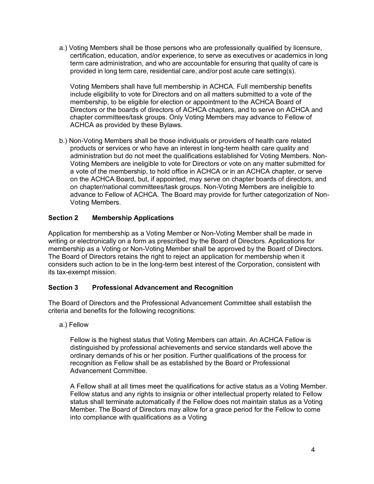a.) Voting Members shall be those persons who are professionally qualified by licensure, certification, education, and/or experience, to serve as executives or academics in long term care administration, and who are accountable for ensuring that quality of care is provided in long term care, residential care, and/or post acute care setting(s).

Voting Members shall have full membership in ACHCA. Full membership benefits include eligibility to vote for Directors and on all matters submitted to a vote of the membership, to be eligible for election or appointment to the ACHCA Board of Directors or the boards of directors of ACHCA chapters, and to serve on ACHCA and chapter committees/task groups. Only Voting Members may advance to Fellow of ACHCA as provided by these Bylaws.

b.) Non-Voting Members shall be those individuals or providers of health care related products or services or who have an interest in long-term health care quality and administration but do not meet the qualifications established for Voting Members. Non-Voting Members are ineligible to vote for Directors or vote on any matter submitted for a vote of the membership, to hold office in ACHCA or in an ACHCA chapter, or serve on the ACHCA Board, but, if appointed, may serve on chapter boards of directors, and on chapter/national committees/task groups. Non-Voting Members are ineligible to advance to Fellow of ACHCA. The Board may provide for further categorization of Non-Voting Members.

# **Section 2 Membership Applications**

Application for membership as a Voting Member or Non-Voting Member shall be made in writing or electronically on a form as prescribed by the Board of Directors. Applications for membership as a Voting or Non-Voting Member shall be approved by the Board of Directors. The Board of Directors retains the right to reject an application for membership when it considers such action to be in the long-term best interest of the Corporation, consistent with its tax-exempt mission.

# **Section 3 Professional Advancement and Recognition**

The Board of Directors and the Professional Advancement Committee shall establish the criteria and benefits for the following recognitions:

# a.) Fellow

Fellow is the highest status that Voting Members can attain. An ACHCA Fellow is distinguished by professional achievements and service standards well above the ordinary demands of his or her position. Further qualifications of the process for recognition as Fellow shall be as established by the Board or Professional Advancement Committee.

A Fellow shall at all times meet the qualifications for active status as a Voting Member. Fellow status and any rights to insignia or other intellectual property related to Fellow status shall terminate automatically if the Fellow does not maintain status as a Voting Member. The Board of Directors may allow for a grace period for the Fellow to come into compliance with qualifications as a Voting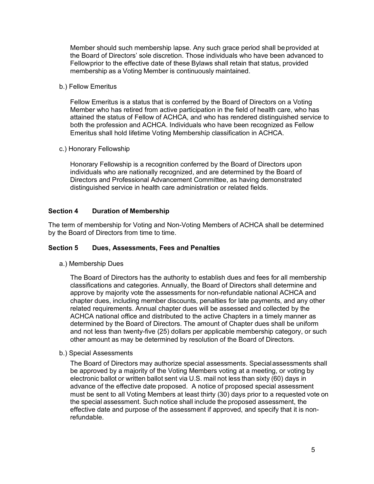Member should such membership lapse. Any such grace period shall beprovided at the Board of Directors' sole discretion. Those individuals who have been advanced to Fellowprior to the effective date of these Bylaws shall retain that status, provided membership as a Voting Member is continuously maintained.

b.) Fellow Emeritus

Fellow Emeritus is a status that is conferred by the Board of Directors on a Voting Member who has retired from active participation in the field of health care, who has attained the status of Fellow of ACHCA, and who has rendered distinguished service to both the profession and ACHCA. Individuals who have been recognized as Fellow Emeritus shall hold lifetime Voting Membership classification in ACHCA.

c.) Honorary Fellowship

Honorary Fellowship is a recognition conferred by the Board of Directors upon individuals who are nationally recognized, and are determined by the Board of Directors and Professional Advancement Committee, as having demonstrated distinguished service in health care administration or related fields.

# **Section 4 Duration of Membership**

The term of membership for Voting and Non-Voting Members of ACHCA shall be determined by the Board of Directors from time to time.

#### **Section 5 Dues, Assessments, Fees and Penalties**

a.) Membership Dues

The Board of Directors has the authority to establish dues and fees for all membership classifications and categories. Annually, the Board of Directors shall determine and approve by majority vote the assessments for non-refundable national ACHCA and chapter dues, including member discounts, penalties for late payments, and any other related requirements. Annual chapter dues will be assessed and collected by the ACHCA national office and distributed to the active Chapters in a timely manner as determined by the Board of Directors. The amount of Chapter dues shall be uniform and not less than twenty-five (25) dollars per applicable membership category, or such other amount as may be determined by resolution of the Board of Directors.

b.) Special Assessments

The Board of Directors may authorize special assessments. Specialassessments shall be approved by a majority of the Voting Members voting at a meeting, or voting by electronic ballot or written ballot sent via U.S. mail not less than sixty (60) days in advance of the effective date proposed. A notice of proposed special assessment must be sent to all Voting Members at least thirty (30) days prior to a requested vote on the special assessment. Such notice shall include the proposed assessment, the effective date and purpose of the assessment if approved, and specify that it is nonrefundable.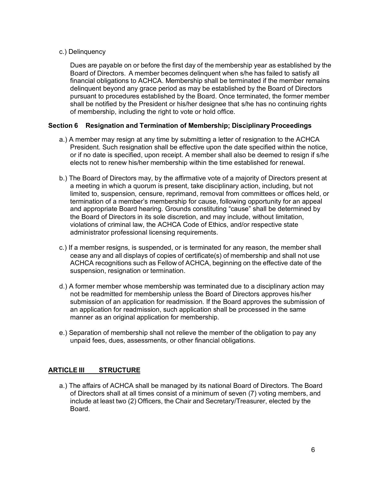#### c.) Delinquency

Dues are payable on or before the first day of the membership year as established by the Board of Directors. A member becomes delinquent when s/he has failed to satisfy all financial obligations to ACHCA. Membership shall be terminated if the member remains delinquent beyond any grace period as may be established by the Board of Directors pursuant to procedures established by the Board. Once terminated, the former member shall be notified by the President or his/her designee that s/he has no continuing rights of membership, including the right to vote or hold office.

#### **Section 6 Resignation and Termination of Membership; Disciplinary Proceedings**

- a.) A member may resign at any time by submitting a letter of resignation to the ACHCA President. Such resignation shall be effective upon the date specified within the notice, or if no date is specified, upon receipt. A member shall also be deemed to resign if s/he elects not to renew his/her membership within the time established for renewal.
- b.) The Board of Directors may, by the affirmative vote of a majority of Directors present at a meeting in which a quorum is present, take disciplinary action, including, but not limited to, suspension, censure, reprimand, removal from committees or offices held, or termination of a member's membership for cause, following opportunity for an appeal and appropriate Board hearing. Grounds constituting "cause" shall be determined by the Board of Directors in its sole discretion, and may include, without limitation, violations of criminal law, the ACHCA Code of Ethics, and/or respective state administrator professional licensing requirements.
- c.) If a member resigns, is suspended, or is terminated for any reason, the member shall cease any and all displays of copies of certificate(s) of membership and shall not use ACHCA recognitions such as Fellow of ACHCA, beginning on the effective date of the suspension, resignation or termination.
- d.) A former member whose membership was terminated due to a disciplinary action may not be readmitted for membership unless the Board of Directors approves his/her submission of an application for readmission. If the Board approves the submission of an application for readmission, such application shall be processed in the same manner as an original application for membership.
- e.) Separation of membership shall not relieve the member of the obligation to pay any unpaid fees, dues, assessments, or other financial obligations.

# <span id="page-5-0"></span>**ARTICLE III STRUCTURE**

a.) The affairs of ACHCA shall be managed by its national Board of Directors. The Board of Directors shall at all times consist of a minimum of seven (7) voting members, and include at least two (2) Officers, the Chair and Secretary/Treasurer, elected by the Board.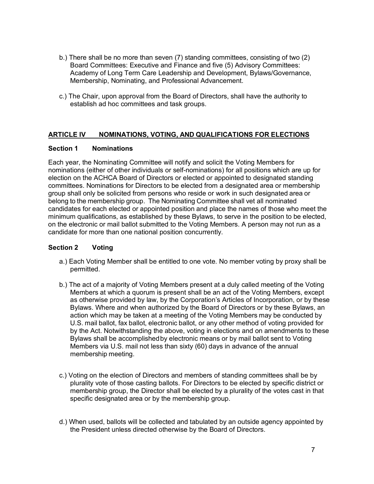- b.) There shall be no more than seven (7) standing committees, consisting of two (2) Board Committees: Executive and Finance and five (5) Advisory Committees: Academy of Long Term Care Leadership and Development, Bylaws/Governance, Membership, Nominating, and Professional Advancement.
- c.) The Chair, upon approval from the Board of Directors, shall have the authority to establish ad hoc committees and task groups.

# <span id="page-6-0"></span>**ARTICLE IV NOMINATIONS, VOTING, AND QUALIFICATIONS FOR ELECTIONS**

#### **Section 1 Nominations**

Each year, the Nominating Committee will notify and solicit the Voting Members for nominations (either of other individuals or self-nominations) for all positions which are up for election on the ACHCA Board of Directors or elected or appointed to designated standing committees. Nominations for Directors to be elected from a designated area or membership group shall only be solicited from persons who reside or work in such designated area or belong to the membership group. The Nominating Committee shall vet all nominated candidates for each elected or appointed position and place the names of those who meet the minimum qualifications, as established by these Bylaws, to serve in the position to be elected, on the electronic or mail ballot submitted to the Voting Members. A person may not run as a candidate for more than one national position concurrently.

#### **Section 2 Voting**

- a.) Each Voting Member shall be entitled to one vote. No member voting by proxy shall be permitted.
- b.) The act of a majority of Voting Members present at a duly called meeting of the Voting Members at which a quorum is present shall be an act of the Voting Members, except as otherwise provided by law, by the Corporation's Articles of Incorporation, or by these Bylaws. Where and when authorized by the Board of Directors or by these Bylaws, an action which may be taken at a meeting of the Voting Members may be conducted by U.S. mail ballot, fax ballot, electronic ballot, or any other method of voting provided for by the Act. Notwithstanding the above, voting in elections and on amendments to these Bylaws shall be accomplishedby electronic means or by mail ballot sent to Voting Members via U.S. mail not less than sixty (60) days in advance of the annual membership meeting.
- c.) Voting on the election of Directors and members of standing committees shall be by plurality vote of those casting ballots. For Directors to be elected by specific district or membership group, the Director shall be elected by a plurality of the votes cast in that specific designated area or by the membership group.
- d.) When used, ballots will be collected and tabulated by an outside agency appointed by the President unless directed otherwise by the Board of Directors.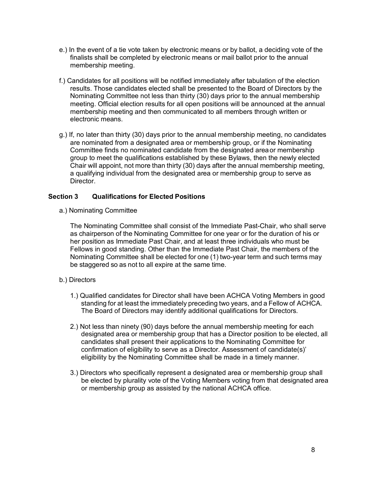- e.) In the event of a tie vote taken by electronic means or by ballot, a deciding vote of the finalists shall be completed by electronic means or mail ballot prior to the annual membership meeting.
- f.) Candidates for all positions will be notified immediately after tabulation of the election results. Those candidates elected shall be presented to the Board of Directors by the Nominating Committee not less than thirty (30) days prior to the annual membership meeting. Official election results for all open positions will be announced at the annual membership meeting and then communicated to all members through written or electronic means.
- g.) If, no later than thirty (30) days prior to the annual membership meeting, no candidates are nominated from a designated area or membership group, or if the Nominating Committee finds no nominated candidate from the designated areaor membership group to meet the qualifications established by these Bylaws, then the newly elected Chair will appoint, not more than thirty (30) days after the annual membership meeting, a qualifying individual from the designated area or membership group to serve as Director.

#### **Section 3 Qualifications for Elected Positions**

a.) Nominating Committee

The Nominating Committee shall consist of the Immediate Past-Chair, who shall serve as chairperson of the Nominating Committee for one year or for the duration of his or her position as Immediate Past Chair, and at least three individuals who must be Fellows in good standing. Other than the Immediate Past Chair, the members of the Nominating Committee shall be elected for one (1) two-year term and such terms may be staggered so as not to all expire at the same time.

#### b.) Directors

- 1.) Qualified candidates for Director shall have been ACHCA Voting Members in good standing for at least the immediately preceding two years, and a Fellow of ACHCA. The Board of Directors may identify additional qualifications for Directors.
- 2.) Not less than ninety (90) days before the annual membership meeting for each designated area or membership group that has a Director position to be elected, all candidates shall present their applications to the Nominating Committee for confirmation of eligibility to serve as a Director. Assessment of candidate(s)' eligibility by the Nominating Committee shall be made in a timely manner.
- 3.) Directors who specifically represent a designated area or membership group shall be elected by plurality vote of the Voting Members voting from that designated area or membership group as assisted by the national ACHCA office.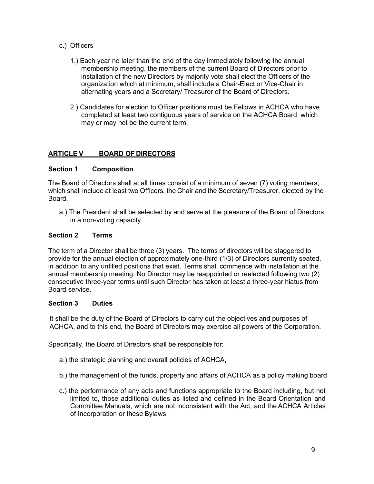- c.) Officers
	- 1.) Each year no later than the end of the day immediately following the annual membership meeting, the members of the current Board of Directors prior to installation of the new Directors by majority vote shall elect the Officers of the organization which at minimum, shall include a Chair-Elect or Vice-Chair in alternating years and a Secretary/ Treasurer of the Board of Directors.
	- 2.) Candidates for election to Officer positions must be Fellows in ACHCA who have completed at least two contiguous years of service on the ACHCA Board, which may or may not be the current term.

# <span id="page-8-0"></span>**ARTICLE V BOARD OF DIRECTORS**

#### **Section 1 Composition**

The Board of Directors shall at all times consist of a minimum of seven (7) voting members, which shall include at least two Officers, the Chair and the Secretary/Treasurer, elected by the Board.

a.) The President shall be selected by and serve at the pleasure of the Board of Directors in a non-voting capacity.

# **Section 2 Terms**

The term of a Director shall be three (3) years. The terms of directors will be staggered to provide for the annual election of approximately one-third (1/3) of Directors currently seated, in addition to any unfilled positions that exist. Terms shall commence with installation at the annual membership meeting. No Director may be reappointed or reelected following two (2) consecutive three-year terms until such Director has taken at least a three-year hiatus from Board service.

#### **Section 3 Duties**

It shall be the duty of the Board of Directors to carry out the objectives and purposes of ACHCA, and to this end, the Board of Directors may exercise all powers of the Corporation.

Specifically, the Board of Directors shall be responsible for:

- a.) the strategic planning and overall policies of ACHCA,
- b.) the management of the funds, property and affairs of ACHCA as a policy making board
- c.) the performance of any acts and functions appropriate to the Board including, but not limited to, those additional duties as listed and defined in the Board Orientation and Committee Manuals, which are not inconsistent with the Act, and the ACHCA Articles of Incorporation or these Bylaws.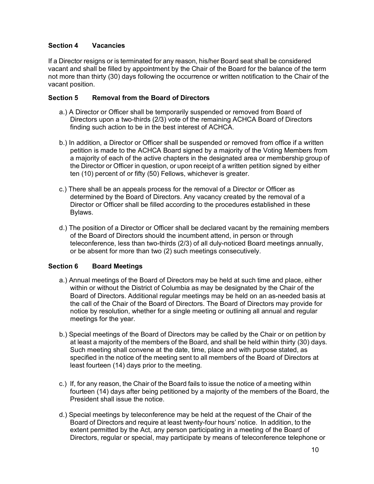# **Section 4 Vacancies**

If a Director resigns or is terminated for any reason, his/her Board seat shall be considered vacant and shall be filled by appointment by the Chair of the Board for the balance of the term not more than thirty (30) days following the occurrence or written notification to the Chair of the vacant position.

# **Section 5 Removal from the Board of Directors**

- a.) A Director or Officer shall be temporarily suspended or removed from Board of Directors upon a two-thirds (2/3) vote of the remaining ACHCA Board of Directors finding such action to be in the best interest of ACHCA.
- b.) In addition, a Director or Officer shall be suspended or removed from office if a written petition is made to the ACHCA Board signed by a majority of the Voting Members from a majority of each of the active chapters in the designated area or membership group of the Director or Officer in question, or upon receipt of a written petition signed by either ten (10) percent of or fifty (50) Fellows, whichever is greater.
- c.) There shall be an appeals process for the removal of a Director or Officer as determined by the Board of Directors. Any vacancy created by the removal of a Director or Officer shall be filled according to the procedures established in these Bylaws.
- d.) The position of a Director or Officer shall be declared vacant by the remaining members of the Board of Directors should the incumbent attend, in person or through teleconference, less than two-thirds (2/3) of all duly-noticed Board meetings annually, or be absent for more than two (2) such meetings consecutively.

# **Section 6 Board Meetings**

- a.) Annual meetings of the Board of Directors may be held at such time and place, either within or without the District of Columbia as may be designated by the Chair of the Board of Directors. Additional regular meetings may be held on an as-needed basis at the call of the Chair of the Board of Directors. The Board of Directors may provide for notice by resolution, whether for a single meeting or outlining all annual and regular meetings for the year.
- b.) Special meetings of the Board of Directors may be called by the Chair or on petition by at least a majority of the members of the Board, and shall be held within thirty (30) days. Such meeting shall convene at the date, time, place and with purpose stated, as specified in the notice of the meeting sent to all members of the Board of Directors at least fourteen (14) days prior to the meeting.
- c.) If, for any reason, the Chair of the Board fails to issue the notice of a meeting within fourteen (14) days after being petitioned by a majority of the members of the Board, the President shall issue the notice.
- d.) Special meetings by teleconference may be held at the request of the Chair of the Board of Directors and require at least twenty-four hours' notice. In addition, to the extent permitted by the Act, any person participating in a meeting of the Board of Directors, regular or special, may participate by means of teleconference telephone or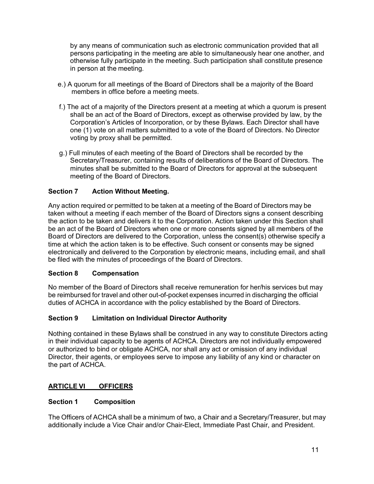by any means of communication such as electronic communication provided that all persons participating in the meeting are able to simultaneously hear one another, and otherwise fully participate in the meeting. Such participation shall constitute presence in person at the meeting.

- e.) A quorum for all meetings of the Board of Directors shall be a majority of the Board members in office before a meeting meets.
- f.) The act of a majority of the Directors present at a meeting at which a quorum is present shall be an act of the Board of Directors, except as otherwise provided by law, by the Corporation's Articles of Incorporation, or by these Bylaws. Each Director shall have one (1) vote on all matters submitted to a vote of the Board of Directors. No Director voting by proxy shall be permitted.
- g.) Full minutes of each meeting of the Board of Directors shall be recorded by the Secretary/Treasurer, containing results of deliberations of the Board of Directors. The minutes shall be submitted to the Board of Directors for approval at the subsequent meeting of the Board of Directors.

# **Section 7 Action Without Meeting.**

Any action required or permitted to be taken at a meeting of the Board of Directors may be taken without a meeting if each member of the Board of Directors signs a consent describing the action to be taken and delivers it to the Corporation. Action taken under this Section shall be an act of the Board of Directors when one or more consents signed by all members of the Board of Directors are delivered to the Corporation, unless the consent(s) otherwise specify a time at which the action taken is to be effective. Such consent or consents may be signed electronically and delivered to the Corporation by electronic means, including email, and shall be filed with the minutes of proceedings of the Board of Directors.

# **Section 8 Compensation**

No member of the Board of Directors shall receive remuneration for her/his services but may be reimbursed for travel and other out-of-pocket expenses incurred in discharging the official duties of ACHCA in accordance with the policy established by the Board of Directors.

# **Section 9 Limitation on Individual Director Authority**

Nothing contained in these Bylaws shall be construed in any way to constitute Directors acting in their individual capacity to be agents of ACHCA. Directors are not individually empowered or authorized to bind or obligate ACHCA, nor shall any act or omission of any individual Director, their agents, or employees serve to impose any liability of any kind or character on the part of ACHCA.

# <span id="page-10-0"></span>**ARTICLE VI OFFICERS**

#### **Section 1 Composition**

The Officers of ACHCA shall be a minimum of two, a Chair and a Secretary/Treasurer, but may additionally include a Vice Chair and/or Chair-Elect, Immediate Past Chair, and President.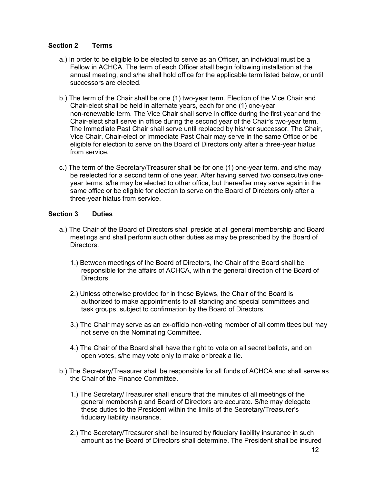# **Section 2 Terms**

- a.) In order to be eligible to be elected to serve as an Officer, an individual must be a Fellow in ACHCA. The term of each Officer shall begin following installation at the annual meeting, and s/he shall hold office for the applicable term listed below, or until successors are elected.
- b.) The term of the Chair shall be one (1) two-year term. Election of the Vice Chair and Chair-elect shall be held in alternate years, each for one (1) one-year non-renewable term. The Vice Chair shall serve in office during the first year and the Chair-elect shall serve in office during the second year of the Chair's two-year term. The Immediate Past Chair shall serve until replaced by his/her successor. The Chair, Vice Chair, Chair-elect or Immediate Past Chair may serve in the same Office or be eligible for election to serve on the Board of Directors only after a three-year hiatus from service.
- c.) The term of the Secretary/Treasurer shall be for one (1) one-year term, and s/he may be reelected for a second term of one year. After having served two consecutive oneyear terms, s/he may be elected to other office, but thereafter may serve again in the same office or be eligible for election to serve on the Board of Directors only after a three-year hiatus from service.

# **Section 3 Duties**

- a.) The Chair of the Board of Directors shall preside at all general membership and Board meetings and shall perform such other duties as may be prescribed by the Board of Directors.
	- 1.) Between meetings of the Board of Directors, the Chair of the Board shall be responsible for the affairs of ACHCA, within the general direction of the Board of Directors.
	- 2.) Unless otherwise provided for in these Bylaws, the Chair of the Board is authorized to make appointments to all standing and special committees and task groups, subject to confirmation by the Board of Directors.
	- 3.) The Chair may serve as an ex-officio non-voting member of all committees but may not serve on the Nominating Committee.
	- 4.) The Chair of the Board shall have the right to vote on all secret ballots, and on open votes, s/he may vote only to make or break a tie.
- b.) The Secretary/Treasurer shall be responsible for all funds of ACHCA and shall serve as the Chair of the Finance Committee.
	- 1.) The Secretary/Treasurer shall ensure that the minutes of all meetings of the general membership and Board of Directors are accurate. S/he may delegate these duties to the President within the limits of the Secretary/Treasurer's fiduciary liability insurance.
	- 2.) The Secretary/Treasurer shall be insured by fiduciary liability insurance in such amount as the Board of Directors shall determine. The President shall be insured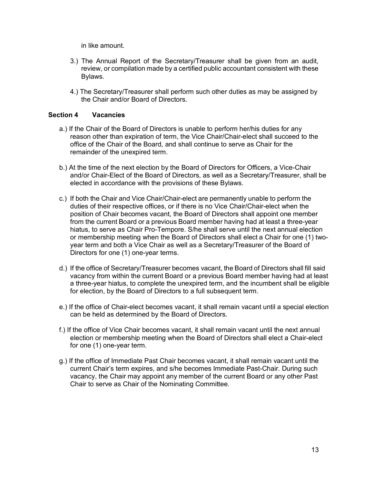in like amount.

- 3.) The Annual Report of the Secretary/Treasurer shall be given from an audit, review, or compilation made by a certified public accountant consistent with these Bylaws.
- 4.) The Secretary/Treasurer shall perform such other duties as may be assigned by the Chair and/or Board of Directors.

#### **Section 4 Vacancies**

- a.) If the Chair of the Board of Directors is unable to perform her/his duties for any reason other than expiration of term, the Vice Chair/Chair-elect shall succeed to the office of the Chair of the Board, and shall continue to serve as Chair for the remainder of the unexpired term.
- b.) At the time of the next election by the Board of Directors for Officers, a Vice-Chair and/or Chair-Elect of the Board of Directors, as well as a Secretary/Treasurer, shall be elected in accordance with the provisions of these Bylaws.
- c.) If both the Chair and Vice Chair/Chair-elect are permanently unable to perform the duties of their respective offices, or if there is no Vice Chair/Chair-elect when the position of Chair becomes vacant, the Board of Directors shall appoint one member from the current Board or a previous Board member having had at least a three-year hiatus, to serve as Chair Pro-Tempore. S/he shall serve until the next annual election or membership meeting when the Board of Directors shall elect a Chair for one (1) twoyear term and both a Vice Chair as well as a Secretary/Treasurer of the Board of Directors for one (1) one-year terms.
- d.) If the office of Secretary/Treasurer becomes vacant, the Board of Directors shall fill said vacancy from within the current Board or a previous Board member having had at least a three-year hiatus, to complete the unexpired term, and the incumbent shall be eligible for election, by the Board of Directors to a full subsequent term.
- e.) If the office of Chair-elect becomes vacant, it shall remain vacant until a special election can be held as determined by the Board of Directors.
- f.) If the office of Vice Chair becomes vacant, it shall remain vacant until the next annual election or membership meeting when the Board of Directors shall elect a Chair-elect for one (1) one-year term.
- g.) If the office of Immediate Past Chair becomes vacant, it shall remain vacant until the current Chair's term expires, and s/he becomes Immediate Past-Chair. During such vacancy, the Chair may appoint any member of the current Board or any other Past Chair to serve as Chair of the Nominating Committee.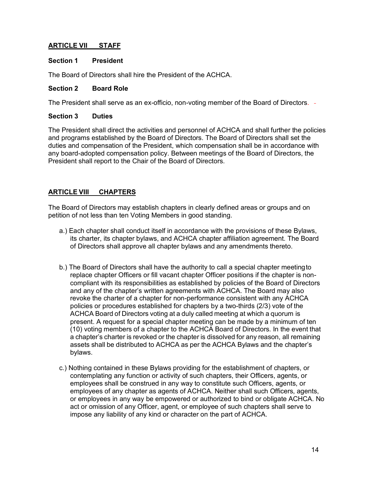# <span id="page-13-0"></span>**ARTICLE VII STAFF**

#### **Section 1 President**

The Board of Directors shall hire the President of the ACHCA.

#### **Section 2 Board Role**

The President shall serve as an ex-officio, non-voting member of the Board of Directors.

#### **Section 3 Duties**

The President shall direct the activities and personnel of ACHCA and shall further the policies and programs established by the Board of Directors. The Board of Directors shall set the duties and compensation of the President, which compensation shall be in accordance with any board-adopted compensation policy. Between meetings of the Board of Directors, the President shall report to the Chair of the Board of Directors.

# <span id="page-13-1"></span>**ARTICLE VIII CHAPTERS**

The Board of Directors may establish chapters in clearly defined areas or groups and on petition of not less than ten Voting Members in good standing.

- a.) Each chapter shall conduct itself in accordance with the provisions of these Bylaws, its charter, its chapter bylaws, and ACHCA chapter affiliation agreement. The Board of Directors shall approve all chapter bylaws and any amendments thereto.
- b.) The Board of Directors shall have the authority to call a special chapter meetingto replace chapter Officers or fill vacant chapter Officer positions if the chapter is noncompliant with its responsibilities as established by policies of the Board of Directors and any of the chapter's written agreements with ACHCA. The Board may also revoke the charter of a chapter for non-performance consistent with any ACHCA policies or procedures established for chapters by a two-thirds (2/3) vote of the ACHCA Board of Directors voting at a duly called meeting at which a quorum is present. A request for a special chapter meeting can be made by a minimum of ten (10) voting members of a chapter to the ACHCA Board of Directors. In the event that a chapter's charter is revoked or the chapter is dissolved for any reason, all remaining assets shall be distributed to ACHCA as per the ACHCA Bylaws and the chapter's bylaws.
- c.) Nothing contained in these Bylaws providing for the establishment of chapters, or contemplating any function or activity of such chapters, their Officers, agents, or employees shall be construed in any way to constitute such Officers, agents, or employees of any chapter as agents of ACHCA. Neither shall such Officers, agents, or employees in any way be empowered or authorized to bind or obligate ACHCA. No act or omission of any Officer, agent, or employee of such chapters shall serve to impose any liability of any kind or character on the part of ACHCA.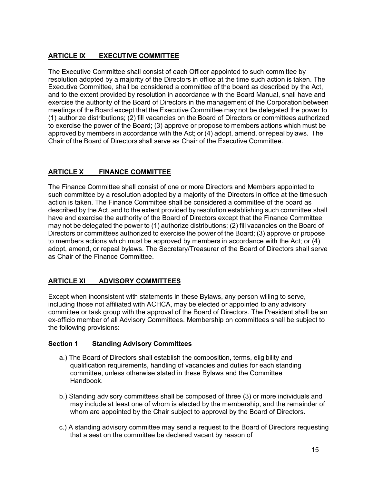# <span id="page-14-0"></span>**ARTICLE IX EXECUTIVE COMMITTEE**

The Executive Committee shall consist of each Officer appointed to such committee by resolution adopted by a majority of the Directors in office at the time such action is taken. The Executive Committee, shall be considered a committee of the board as described by the Act, and to the extent provided by resolution in accordance with the Board Manual, shall have and exercise the authority of the Board of Directors in the management of the Corporation between meetings of the Board except that the Executive Committee may not be delegated the power to (1) authorize distributions; (2) fill vacancies on the Board of Directors or committees authorized to exercise the power of the Board; (3) approve or propose to members actions which must be approved by members in accordance with the Act; or (4) adopt, amend, or repeal bylaws. The Chair of the Board of Directors shall serve as Chair of the Executive Committee.

# <span id="page-14-1"></span>**ARTICLE X FINANCE COMMITTEE**

The Finance Committee shall consist of one or more Directors and Members appointed to such committee by a resolution adopted by a majority of the Directors in office at the timesuch action is taken. The Finance Committee shall be considered a committee of the board as described by the Act, and to the extent provided by resolution establishing such committee shall have and exercise the authority of the Board of Directors except that the Finance Committee may not be delegated the power to (1) authorize distributions; (2) fill vacancies on the Board of Directors or committees authorized to exercise the power of the Board; (3) approve or propose to members actions which must be approved by members in accordance with the Act; or (4) adopt, amend, or repeal bylaws. The Secretary/Treasurer of the Board of Directors shall serve as Chair of the Finance Committee.

# <span id="page-14-2"></span>**ARTICLE XI ADVISORY COMMITTEES**

Except when inconsistent with statements in these Bylaws, any person willing to serve, including those not affiliated with ACHCA, may be elected or appointed to any advisory committee or task group with the approval of the Board of Directors. The President shall be an ex-officio member of all Advisory Committees. Membership on committees shall be subject to the following provisions:

# **Section 1 Standing Advisory Committees**

- a.) The Board of Directors shall establish the composition, terms, eligibility and qualification requirements, handling of vacancies and duties for each standing committee, unless otherwise stated in these Bylaws and the Committee Handbook.
- b.) Standing advisory committees shall be composed of three (3) or more individuals and may include at least one of whom is elected by the membership, and the remainder of whom are appointed by the Chair subject to approval by the Board of Directors.
- c.) A standing advisory committee may send a request to the Board of Directors requesting that a seat on the committee be declared vacant by reason of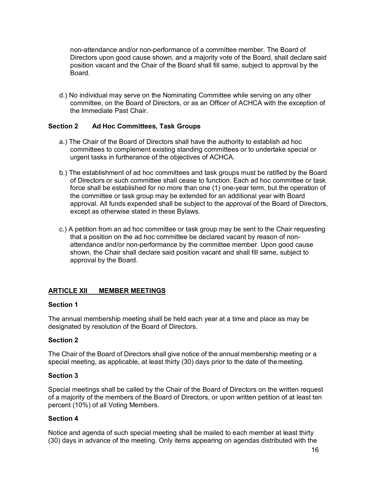non-attendance and/or non-performance of a committee member. The Board of Directors upon good cause shown, and a majority vote of the Board, shall declare said position vacant and the Chair of the Board shall fill same, subject to approval by the Board.

d.) No individual may serve on the Nominating Committee while serving on any other committee, on the Board of Directors, or as an Officer of ACHCA with the exception of the Immediate Past Chair.

#### **Section 2 Ad Hoc Committees, Task Groups**

- a.) The Chair of the Board of Directors shall have the authority to establish ad hoc committees to complement existing standing committees or to undertake special or urgent tasks in furtherance of the objectives of ACHCA.
- b.) The establishment of ad hoc committees and task groups must be ratified by the Board of Directors or such committee shall cease to function. Each ad hoc committee or task force shall be established for no more than one (1) one-year term, but the operation of the committee or task group may be extended for an additional year with Board approval. All funds expended shall be subject to the approval of the Board of Directors, except as otherwise stated in these Bylaws.
- c.) A petition from an ad hoc committee or task group may be sent to the Chair requesting that a position on the ad hoc committee be declared vacant by reason of nonattendance and/or non-performance by the committee member. Upon good cause shown, the Chair shall declare said position vacant and shall fill same, subject to approval by the Board.

#### <span id="page-15-0"></span>**ARTICLE XII MEMBER MEETINGS**

#### **Section 1**

The annual membership meeting shall be held each year at a time and place as may be designated by resolution of the Board of Directors.

#### **Section 2**

The Chair of the Board of Directors shall give notice of the annual membership meeting or a special meeting, as applicable, at least thirty (30) days prior to the date of the meeting.

#### **Section 3**

Special meetings shall be called by the Chair of the Board of Directors on the written request of a majority of the members of the Board of Directors, or upon written petition of at least ten percent (10%) of all Voting Members.

#### **Section 4**

Notice and agenda of such special meeting shall be mailed to each member at least thirty (30) days in advance of the meeting. Only items appearing on agendas distributed with the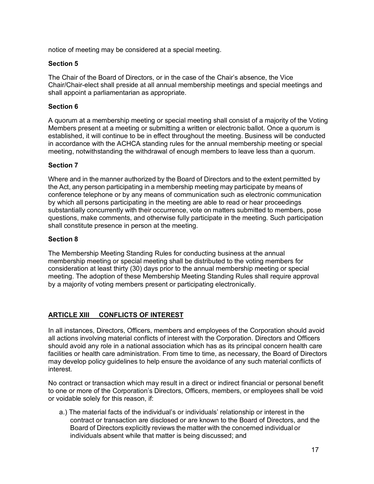notice of meeting may be considered at a special meeting.

#### **Section 5**

The Chair of the Board of Directors, or in the case of the Chair's absence, the Vice Chair/Chair-elect shall preside at all annual membership meetings and special meetings and shall appoint a parliamentarian as appropriate.

#### **Section 6**

A quorum at a membership meeting or special meeting shall consist of a majority of the Voting Members present at a meeting or submitting a written or electronic ballot. Once a quorum is established, it will continue to be in effect throughout the meeting. Business will be conducted in accordance with the ACHCA standing rules for the annual membership meeting or special meeting, notwithstanding the withdrawal of enough members to leave less than a quorum.

#### **Section 7**

Where and in the manner authorized by the Board of Directors and to the extent permitted by the Act, any person participating in a membership meeting may participate by means of conference telephone or by any means of communication such as electronic communication by which all persons participating in the meeting are able to read or hear proceedings substantially concurrently with their occurrence, vote on matters submitted to members, pose questions, make comments, and otherwise fully participate in the meeting. Such participation shall constitute presence in person at the meeting.

#### **Section 8**

The Membership Meeting Standing Rules for conducting business at the annual membership meeting or special meeting shall be distributed to the voting members for consideration at least thirty (30) days prior to the annual membership meeting or special meeting. The adoption of these Membership Meeting Standing Rules shall require approval by a majority of voting members present or participating electronically.

# <span id="page-16-0"></span>**ARTICLE XIII CONFLICTS OF INTEREST**

In all instances, Directors, Officers, members and employees of the Corporation should avoid all actions involving material conflicts of interest with the Corporation. Directors and Officers should avoid any role in a national association which has as its principal concern health care facilities or health care administration. From time to time, as necessary, the Board of Directors may develop policy guidelines to help ensure the avoidance of any such material conflicts of interest.

No contract or transaction which may result in a direct or indirect financial or personal benefit to one or more of the Corporation's Directors, Officers, members, or employees shall be void or voidable solely for this reason, if:

a.) The material facts of the individual's or individuals' relationship or interest in the contract or transaction are disclosed or are known to the Board of Directors, and the Board of Directors explicitly reviews the matter with the concerned individual or individuals absent while that matter is being discussed; and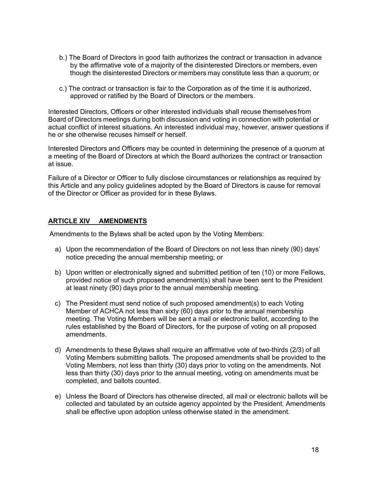- b.) The Board of Directors in good faith authorizes the contract or transaction in advance by the affirmative vote of a majority of the disinterested Directors or members, even though the disinterested Directors or members may constitute less than a quorum; or
- c.) The contract or transaction is fair to the Corporation as of the time it is authorized, approved or ratified by the Board of Directors or the members.

Interested Directors, Officers or other interested individuals shall recuse themselves from Board of Directors meetings during both discussion and voting in connection with potential or actual conflict of interest situations. An interested individual may, however, answer questions if he or she otherwise recuses himself or herself.

Interested Directors and Officers may be counted in determining the presence of a quorum at a meeting of the Board of Directors at which the Board authorizes the contract or transaction at issue.

Failure of a Director or Officer to fully disclose circumstances or relationships as required by this Article and any policy guidelines adopted by the Board of Directors is cause for removal of the Director or Officer as provided for in these Bylaws.

#### <span id="page-17-0"></span>**ARTICLE XIV AMENDMENTS**

Amendments to the Bylaws shall be acted upon by the Voting Members:

- a) Upon the recommendation of the Board of Directors on not less than ninety (90) days' notice preceding the annual membership meeting; or
- b) Upon written or electronically signed and submitted petition of ten (10) or more Fellows, provided notice of such proposed amendment(s) shall have been sent to the President at least ninety (90) days prior to the annual membership meeting.
- c) The President must send notice of such proposed amendment(s) to each Voting Member of ACHCA not less than sixty (60) days prior to the annual membership meeting. The Voting Members will be sent a mail or electronic ballot, according to the rules established by the Board of Directors, for the purpose of voting on all proposed amendments.
- d) Amendments to these Bylaws shall require an affirmative vote of two-thirds (2/3) of all Voting Members submitting ballots. The proposed amendments shall be provided to the Voting Members, not less than thirty (30) days prior to voting on the amendments. Not less than thirty (30) days prior to the annual meeting, voting on amendments must be completed, and ballots counted.
- e) Unless the Board of Directors has otherwise directed, all mail or electronic ballots will be collected and tabulated by an outside agency appointed by the President. Amendments shall be effective upon adoption unless otherwise stated in the amendment.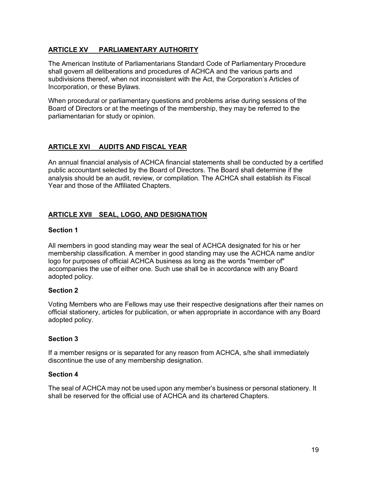# <span id="page-18-0"></span>**ARTICLE XV PARLIAMENTARY AUTHORITY**

The American Institute of Parliamentarians Standard Code of Parliamentary Procedure shall govern all deliberations and procedures of ACHCA and the various parts and subdivisions thereof, when not inconsistent with the Act, the Corporation's Articles of Incorporation, or these Bylaws.

When procedural or parliamentary questions and problems arise during sessions of the Board of Directors or at the meetings of the membership, they may be referred to the parliamentarian for study or opinion.

# <span id="page-18-1"></span>**ARTICLE XVI AUDITS AND FISCAL YEAR**

An annual financial analysis of ACHCA financial statements shall be conducted by a certified public accountant selected by the Board of Directors. The Board shall determine if the analysis should be an audit, review, or compilation. The ACHCA shall establish its Fiscal Year and those of the Affiliated Chapters.

# **ARTICLE XVII SEAL, LOGO, AND DESIGNATION**

#### **Section 1**

All members in good standing may wear the seal of ACHCA designated for his or her membership classification. A member in good standing may use the ACHCA name and/or logo for purposes of official ACHCA business as long as the words "member of" accompanies the use of either one. Such use shall be in accordance with any Board adopted policy.

#### **Section 2**

Voting Members who are Fellows may use their respective designations after their names on official stationery, articles for publication, or when appropriate in accordance with any Board adopted policy.

#### **Section 3**

If a member resigns or is separated for any reason from ACHCA, s/he shall immediately discontinue the use of any membership designation.

#### **Section 4**

The seal of ACHCA may not be used upon any member's business or personal stationery. It shall be reserved for the official use of ACHCA and its chartered Chapters.